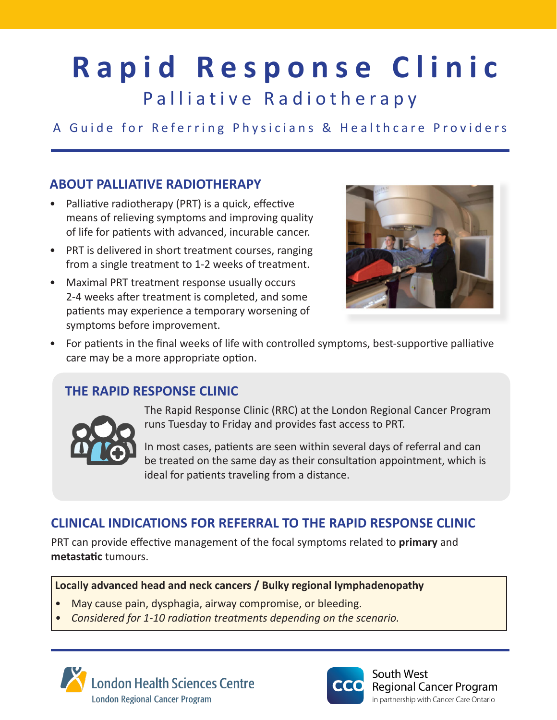# **Rapid Response Clinic**

Palliative Radiotherapy

# A Guide for Referring Physicians & Healthcare Providers

# **ABOUT PALLIATIVE RADIOTHERAPY**

- Palliative radiotherapy (PRT) is a quick, effective means of relieving symptoms and improving quality of life for patients with advanced, incurable cancer.
- PRT is delivered in short treatment courses, ranging from a single treatment to 1-2 weeks of treatment.
- Maximal PRT treatment response usually occurs 2-4 weeks after treatment is completed, and some patients may experience a temporary worsening of symptoms before improvement.



• For patients in the final weeks of life with controlled symptoms, best-supportive palliative care may be a more appropriate option.

# **THE RAPID RESPONSE CLINIC**



The Rapid Response Clinic (RRC) at the London Regional Cancer Program runs Tuesday to Friday and provides fast access to PRT.

In most cases, patients are seen within several days of referral and can be treated on the same day as their consultation appointment, which is ideal for patients traveling from a distance.

# **CLINICAL INDICATIONS FOR REFERRAL TO THE RAPID RESPONSE CLINIC**

PRT can provide effective management of the focal symptoms related to **primary** and **metastatic** tumours.

#### **Locally advanced head and neck cancers / Bulky regional lymphadenopathy**

- May cause pain, dysphagia, airway compromise, or bleeding.
- *• Considered for 1-10 radiation treatments depending on the scenario.*





South West **Regional Cancer Program** in partnership with Cancer Care Ontario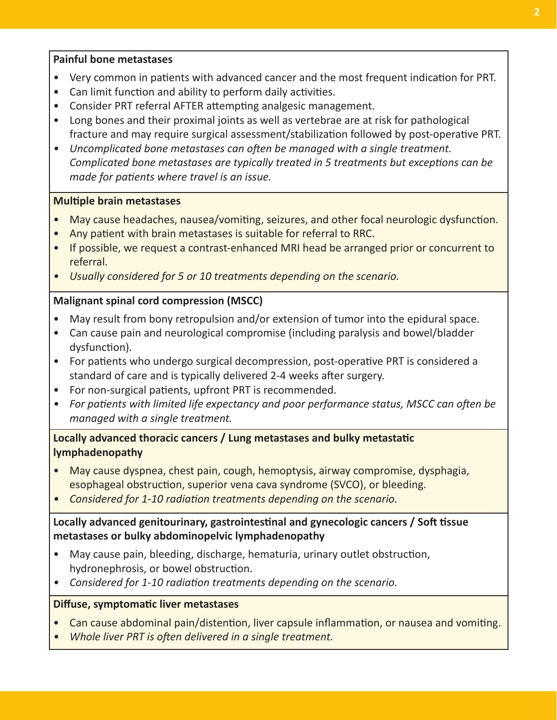#### **Painful bone metastases**

- Very common in patients with advanced cancer and the most frequent indication for PRT.
- Can limit function and ability to perform daily activities.
- Consider PRT referral AFTER attempting analgesic management.
- Long bones and their proximal joints as well as vertebrae are at risk for pathological fracture and may require surgical assessment/stabilization followed by post-operative PRT.
- *• Uncomplicated bone metastases can often be managed with a single treatment. Complicated bone metastases are typically treated in 5 treatments but exceptions can be made for patients where travel is an issue.*

#### **Multiple brain metastases**

- May cause headaches, nausea/vomiting, seizures, and other focal neurologic dysfunction.
- Any patient with brain metastases is suitable for referral to RRC.
- If possible, we request a contrast-enhanced MRI head be arranged prior or concurrent to referral.
- *• Usually considered for 5 or 10 treatments depending on the scenario.*

#### **Malignant spinal cord compression (MSCC)**

- May result from bony retropulsion and/or extension of tumor into the epidural space.
- Can cause pain and neurological compromise (including paralysis and bowel/bladder dysfunction).
- For patients who undergo surgical decompression, post-operative PRT is considered a standard of care and is typically delivered 2-4 weeks after surgery.
- For non-surgical patients, upfront PRT is recommended.
- *• For patients with limited life expectancy and poor performance status, MSCC can often be managed with a single treatment.*

#### **Locally advanced thoracic cancers / Lung metastases and bulky metastatic lymphadenopathy**

- May cause dyspnea, chest pain, cough, hemoptysis, airway compromise, dysphagia, esophageal obstruction, superior vena cava syndrome (SVCO), or bleeding.
- *• Considered for 1-10 radiation treatments depending on the scenario.*

#### **Locally advanced genitourinary, gastrointestinal and gynecologic cancers / Soft tissue metastases or bulky abdominopelvic lymphadenopathy**

- May cause pain, bleeding, discharge, hematuria, urinary outlet obstruction, hydronephrosis, or bowel obstruction.
- *• Considered for 1-10 radiation treatments depending on the scenario.*

#### **Diffuse, symptomatic liver metastases**

- Can cause abdominal pain/distention, liver capsule inflammation, or nausea and vomiting.
- *• Whole liver PRT is often delivered in a single treatment.*